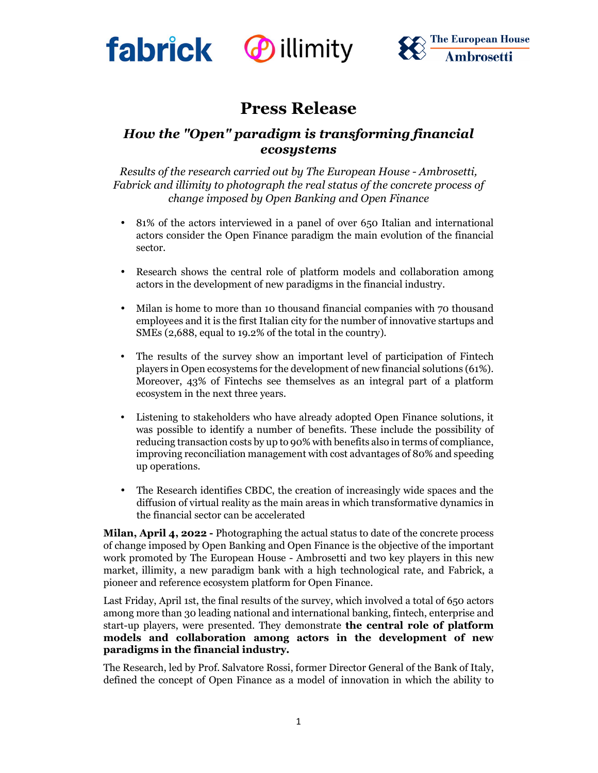





# **Press Release**

# *How the "Open" paradigm is transforming financial ecosystems*

*Results of the research carried out by The European House - Ambrosetti, Fabrick and illimity to photograph the real status of the concrete process of change imposed by Open Banking and Open Finance*

- 81% of the actors interviewed in a panel of over 650 Italian and international actors consider the Open Finance paradigm the main evolution of the financial sector.
- Research shows the central role of platform models and collaboration among actors in the development of new paradigms in the financial industry.
- Milan is home to more than 10 thousand financial companies with 70 thousand employees and it is the first Italian city for the number of innovative startups and SMEs (2,688, equal to 19.2% of the total in the country).
- The results of the survey show an important level of participation of Fintech players in Open ecosystems for the development of new financial solutions (61%). Moreover, 43% of Fintechs see themselves as an integral part of a platform ecosystem in the next three years.
- Listening to stakeholders who have already adopted Open Finance solutions, it was possible to identify a number of benefits. These include the possibility of reducing transaction costs by up to 90% with benefits also in terms of compliance, improving reconciliation management with cost advantages of 80% and speeding up operations.
- The Research identifies CBDC, the creation of increasingly wide spaces and the diffusion of virtual reality as the main areas in which transformative dynamics in the financial sector can be accelerated

**Milan, April 4, 2022 -** Photographing the actual status to date of the concrete process of change imposed by Open Banking and Open Finance is the objective of the important work promoted by The European House - Ambrosetti and two key players in this new market, illimity, a new paradigm bank with a high technological rate, and Fabrick, a pioneer and reference ecosystem platform for Open Finance.

Last Friday, April 1st, the final results of the survey, which involved a total of 650 actors among more than 30 leading national and international banking, fintech, enterprise and start-up players, were presented. They demonstrate **the central role of platform models and collaboration among actors in the development of new paradigms in the financial industry.** 

The Research, led by Prof. Salvatore Rossi, former Director General of the Bank of Italy, defined the concept of Open Finance as a model of innovation in which the ability to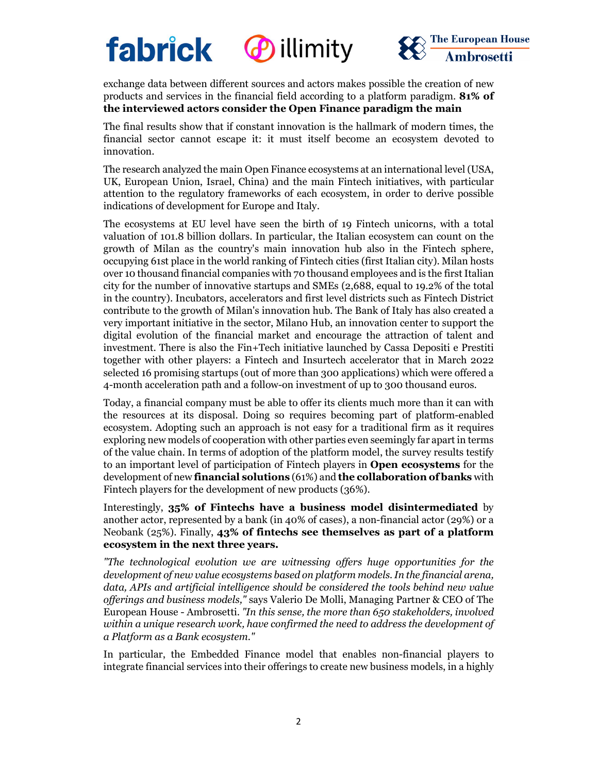

*<u>Dillimity</u>* 



exchange data between different sources and actors makes possible the creation of new products and services in the financial field according to a platform paradigm. **81% of the interviewed actors consider the Open Finance paradigm the main** 

The final results show that if constant innovation is the hallmark of modern times, the financial sector cannot escape it: it must itself become an ecosystem devoted to innovation.

The research analyzed the main Open Finance ecosystems at an international level (USA, UK, European Union, Israel, China) and the main Fintech initiatives, with particular attention to the regulatory frameworks of each ecosystem, in order to derive possible indications of development for Europe and Italy.

The ecosystems at EU level have seen the birth of 19 Fintech unicorns, with a total valuation of 101.8 billion dollars. In particular, the Italian ecosystem can count on the growth of Milan as the country's main innovation hub also in the Fintech sphere, occupying 61st place in the world ranking of Fintech cities (first Italian city). Milan hosts over 10 thousand financial companies with 70 thousand employees and is the first Italian city for the number of innovative startups and SMEs (2,688, equal to 19.2% of the total in the country). Incubators, accelerators and first level districts such as Fintech District contribute to the growth of Milan's innovation hub. The Bank of Italy has also created a very important initiative in the sector, Milano Hub, an innovation center to support the digital evolution of the financial market and encourage the attraction of talent and investment. There is also the Fin+Tech initiative launched by Cassa Depositi e Prestiti together with other players: a Fintech and Insurtech accelerator that in March 2022 selected 16 promising startups (out of more than 300 applications) which were offered a 4-month acceleration path and a follow-on investment of up to 300 thousand euros.

Today, a financial company must be able to offer its clients much more than it can with the resources at its disposal. Doing so requires becoming part of platform-enabled ecosystem. Adopting such an approach is not easy for a traditional firm as it requires exploring new models of cooperation with other parties even seemingly far apart in terms of the value chain. In terms of adoption of the platform model, the survey results testify to an important level of participation of Fintech players in **Open ecosystems** for the development of new **financial solutions** (61%) and **the collaboration of banks** with Fintech players for the development of new products (36%).

Interestingly, **35% of Fintechs have a business model disintermediated** by another actor, represented by a bank (in 40% of cases), a non-financial actor (29%) or a Neobank (25%). Finally, **43% of fintechs see themselves as part of a platform ecosystem in the next three years.** 

*"The technological evolution we are witnessing offers huge opportunities for the development of new value ecosystems based on platform models. In the financial arena, data, APIs and artificial intelligence should be considered the tools behind new value offerings and business models,"* says Valerio De Molli, Managing Partner & CEO of The European House - Ambrosetti. *"In this sense, the more than 650 stakeholders, involved within a unique research work, have confirmed the need to address the development of a Platform as a Bank ecosystem."* 

In particular, the Embedded Finance model that enables non-financial players to integrate financial services into their offerings to create new business models, in a highly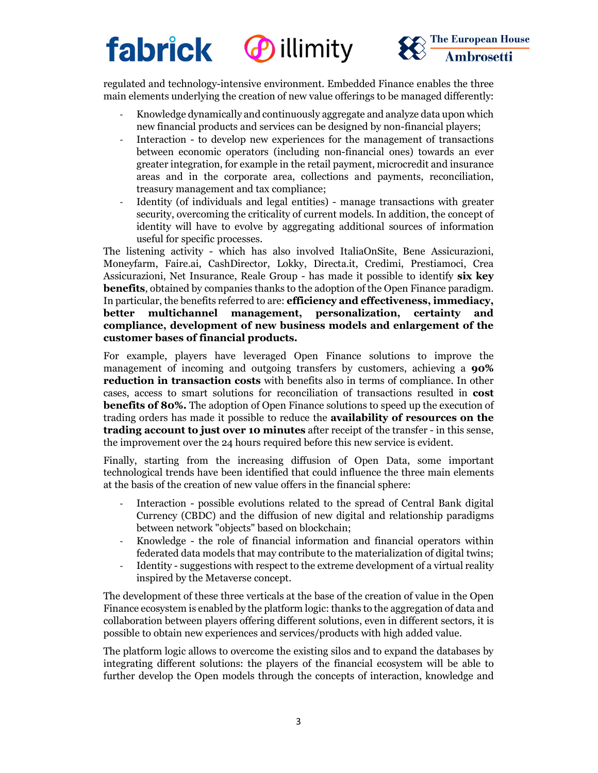# **fabrick** *<u>Dillimity</u>*



regulated and technology-intensive environment. Embedded Finance enables the three main elements underlying the creation of new value offerings to be managed differently:

- Knowledge dynamically and continuously aggregate and analyze data upon which new financial products and services can be designed by non-financial players;
- Interaction to develop new experiences for the management of transactions between economic operators (including non-financial ones) towards an ever greater integration, for example in the retail payment, microcredit and insurance areas and in the corporate area, collections and payments, reconciliation, treasury management and tax compliance;
- Identity (of individuals and legal entities) manage transactions with greater security, overcoming the criticality of current models. In addition, the concept of identity will have to evolve by aggregating additional sources of information useful for specific processes.

The listening activity - which has also involved ItaliaOnSite, Bene Assicurazioni, Moneyfarm, Faire.ai, CashDirector, Lokky, Directa.it, Credimi, Prestiamoci, Crea Assicurazioni, Net Insurance, Reale Group - has made it possible to identify **six key benefits**, obtained by companies thanks to the adoption of the Open Finance paradigm. In particular, the benefits referred to are: **efficiency and effectiveness, immediacy, better multichannel management, personalization, certainty and compliance, development of new business models and enlargement of the customer bases of financial products.**

For example, players have leveraged Open Finance solutions to improve the management of incoming and outgoing transfers by customers, achieving a **90% reduction in transaction costs** with benefits also in terms of compliance. In other cases, access to smart solutions for reconciliation of transactions resulted in **cost benefits of 80%.** The adoption of Open Finance solutions to speed up the execution of trading orders has made it possible to reduce the **availability of resources on the trading account to just over 10 minutes** after receipt of the transfer - in this sense, the improvement over the 24 hours required before this new service is evident.

Finally, starting from the increasing diffusion of Open Data, some important technological trends have been identified that could influence the three main elements at the basis of the creation of new value offers in the financial sphere:

- Interaction possible evolutions related to the spread of Central Bank digital Currency (CBDC) and the diffusion of new digital and relationship paradigms between network "objects" based on blockchain;
- Knowledge the role of financial information and financial operators within federated data models that may contribute to the materialization of digital twins;
- Identity suggestions with respect to the extreme development of a virtual reality inspired by the Metaverse concept.

The development of these three verticals at the base of the creation of value in the Open Finance ecosystem is enabled by the platform logic: thanks to the aggregation of data and collaboration between players offering different solutions, even in different sectors, it is possible to obtain new experiences and services/products with high added value.

The platform logic allows to overcome the existing silos and to expand the databases by integrating different solutions: the players of the financial ecosystem will be able to further develop the Open models through the concepts of interaction, knowledge and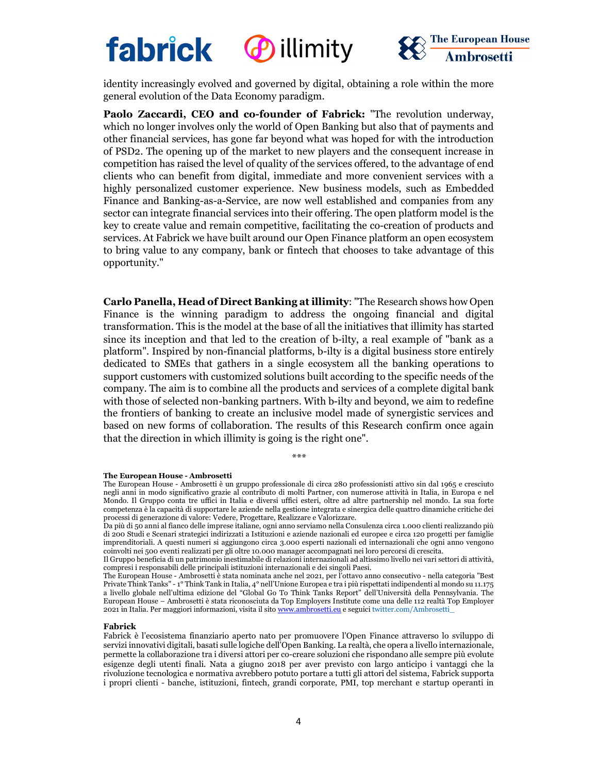



identity increasingly evolved and governed by digital, obtaining a role within the more general evolution of the Data Economy paradigm.

**Paolo Zaccardi, CEO and co-founder of Fabrick:** "The revolution underway, which no longer involves only the world of Open Banking but also that of payments and other financial services, has gone far beyond what was hoped for with the introduction of PSD2. The opening up of the market to new players and the consequent increase in competition has raised the level of quality of the services offered, to the advantage of end clients who can benefit from digital, immediate and more convenient services with a highly personalized customer experience. New business models, such as Embedded Finance and Banking-as-a-Service, are now well established and companies from any sector can integrate financial services into their offering. The open platform model is the key to create value and remain competitive, facilitating the co-creation of products and services. At Fabrick we have built around our Open Finance platform an open ecosystem to bring value to any company, bank or fintech that chooses to take advantage of this opportunity."

**Carlo Panella, Head of Direct Banking at illimity**: "The Research shows how Open Finance is the winning paradigm to address the ongoing financial and digital transformation. This is the model at the base of all the initiatives that illimity has started since its inception and that led to the creation of b-ilty, a real example of "bank as a platform". Inspired by non-financial platforms, b-ilty is a digital business store entirely dedicated to SMEs that gathers in a single ecosystem all the banking operations to support customers with customized solutions built according to the specific needs of the company. The aim is to combine all the products and services of a complete digital bank with those of selected non-banking partners. With b-ilty and beyond, we aim to redefine the frontiers of banking to create an inclusive model made of synergistic services and based on new forms of collaboration. The results of this Research confirm once again that the direction in which illimity is going is the right one".

*\*\*\**

#### **The European House - Ambrosetti**

The European House - Ambrosetti è un gruppo professionale di circa 280 professionisti attivo sin dal 1965 e cresciuto negli anni in modo significativo grazie al contributo di molti Partner, con numerose attività in Italia, in Europa e nel Mondo. Il Gruppo conta tre uffici in Italia e diversi uffici esteri, oltre ad altre partnership nel mondo. La sua forte competenza è la capacità di supportare le aziende nella gestione integrata e sinergica delle quattro dinamiche critiche dei processi di generazione di valore: Vedere, Progettare, Realizzare e Valorizzare.

Da più di 50 anni al fianco delle imprese italiane, ogni anno serviamo nella Consulenza circa 1.000 clienti realizzando più di 200 Studi e Scenari strategici indirizzati a Istituzioni e aziende nazionali ed europee e circa 120 progetti per famiglie imprenditoriali. A questi numeri si aggiungono circa 3.000 esperti nazionali ed internazionali che ogni anno vengono coinvolti nei 500 eventi realizzati per gli oltre 10.000 manager accompagnati nei loro percorsi di crescita.

Il Gruppo beneficia di un patrimonio inestimabile di relazioni internazionali ad altissimo livello nei vari settori di attività, compresi i responsabili delle principali istituzioni internazionali e dei singoli Paesi.

The European House - Ambrosetti è stata nominata anche nel 2021, per l'ottavo anno consecutivo - nella categoria "Best Private Think Tanks" - 1° Think Tank in Italia, 4° nell'Unione Europea e tra i più rispettati indipendenti al mondo su 11.175 a livello globale nell'ultima edizione del "Global Go To Think Tanks Report" dell'Università della Pennsylvania. The European House – Ambrosetti è stata riconosciuta da Top Employers Institute come una delle 112 realtà Top Employer 2021 in Italia. Per maggiori informazioni, visita il sito www.ambrosetti.eu e seguici twitter.com/Ambrosetti\_

#### **Fabrick**

Fabrick è l'ecosistema finanziario aperto nato per promuovere l'Open Finance attraverso lo sviluppo di servizi innovativi digitali, basati sulle logiche dell'Open Banking. La realtà, che opera a livello internazionale, permette la collaborazione tra i diversi attori per co-creare soluzioni che rispondano alle sempre più evolute esigenze degli utenti finali. Nata a giugno 2018 per aver previsto con largo anticipo i vantaggi che la rivoluzione tecnologica e normativa avrebbero potuto portare a tutti gli attori del sistema, Fabrick supporta i propri clienti - banche, istituzioni, fintech, grandi corporate, PMI, top merchant e startup operanti in